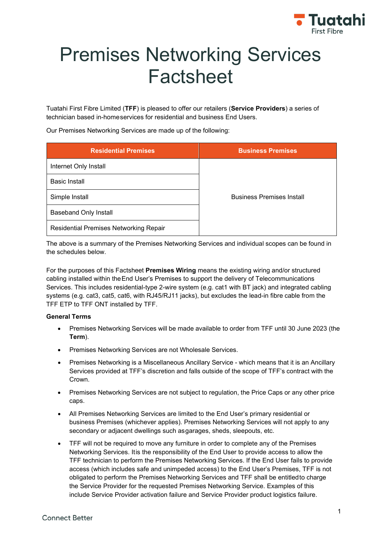

# Premises Networking Services Factsheet

Tuatahi First Fibre Limited (**TFF**) is pleased to offer our retailers (**Service Providers**) a series of technician based in-homeservices for residential and business End Users.

Our Premises Networking Services are made up of the following:

| <b>Residential Premises</b>            | <b>Business Premises</b>         |  |
|----------------------------------------|----------------------------------|--|
| Internet Only Install                  |                                  |  |
| <b>Basic Install</b>                   |                                  |  |
| Simple Install                         | <b>Business Premises Install</b> |  |
| <b>Baseband Only Install</b>           |                                  |  |
| Residential Premises Networking Repair |                                  |  |

The above is a summary of the Premises Networking Services and individual scopes can be found in the schedules below.

For the purposes of this Factsheet **Premises Wiring** means the existing wiring and/or structured cabling installed within theEnd User's Premises to support the delivery of Telecommunications Services. This includes residential-type 2-wire system (e.g. cat1 with BT jack) and integrated cabling systems (e.g. cat3, cat5, cat6, with RJ45/RJ11 jacks), but excludes the lead-in fibre cable from the TFF ETP to TFF ONT installed by TFF.

## **General Terms**

- Premises Networking Services will be made available to order from TFF until 30 June 2023 (the **Term**).
- Premises Networking Services are not Wholesale Services.
- Premises Networking is a Miscellaneous Ancillary Service which means that it is an Ancillary Services provided at TFF's discretion and falls outside of the scope of TFF's contract with the Crown.
- Premises Networking Services are not subject to regulation, the Price Caps or any other price caps.
- All Premises Networking Services are limited to the End User's primary residential or business Premises (whichever applies). Premises Networking Services will not apply to any secondary or adjacent dwellings such asgarages, sheds, sleepouts, etc.
- TFF will not be required to move any furniture in order to complete any of the Premises Networking Services. Itis the responsibility of the End User to provide access to allow the TFF technician to perform the Premises Networking Services. If the End User fails to provide access (which includes safe and unimpeded access) to the End User's Premises, TFF is not obligated to perform the Premises Networking Services and TFF shall be entitledto charge the Service Provider for the requested Premises Networking Service. Examples of this include Service Provider activation failure and Service Provider product logistics failure.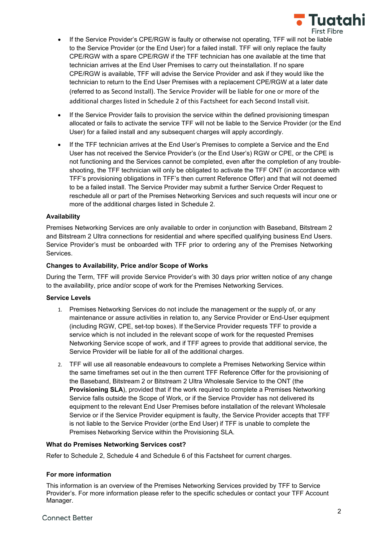

- If the Service Provider's CPE/RGW is faulty or otherwise not operating, TFF will not be liable to the Service Provider (or the End User) for a failed install. TFF will only replace the faulty CPE/RGW with a spare CPE/RGW if the TFF technician has one available at the time that technician arrives at the End User Premises to carry out theinstallation. If no spare CPE/RGW is available, TFF will advise the Service Provider and ask if they would like the technician to return to the End User Premises with a replacement CPE/RGW at a later date (referred to as Second Install). The Service Provider will be liable for one or more of the additional charges listed in Schedule 2 of this Factsheet for each Second Install visit.
- If the Service Provider fails to provision the service within the defined provisioning timespan allocated or fails to activate the service TFF will not be liable to the Service Provider (or the End User) for a failed install and any subsequent charges will apply accordingly.
- If the TFF technician arrives at the End User's Premises to complete a Service and the End User has not received the Service Provider's (or the End User's) RGW or CPE, or the CPE is not functioning and the Services cannot be completed, even after the completion of any troubleshooting, the TFF technician will only be obligated to activate the TFF ONT (in accordance with TFF's provisioning obligations in TFF's then current Reference Offer) and that will not deemed to be a failed install. The Service Provider may submit a further Service Order Request to reschedule all or part of the Premises Networking Services and such requests will incur one or more of the additional charges listed in Schedule 2.

#### **Availability**

Premises Networking Services are only available to order in conjunction with Baseband, Bitstream 2 and Bitstream 2 Ultra connections for residential and where specified qualifying business End Users. Service Provider's must be onboarded with TFF prior to ordering any of the Premises Networking Services.

#### **Changes to Availability, Price and/or Scope of Works**

During the Term, TFF will provide Service Provider's with 30 days prior written notice of any change to the availability, price and/or scope of work for the Premises Networking Services.

#### **Service Levels**

- 1. Premises Networking Services do not include the management or the supply of, or any maintenance or assure activities in relation to, any Service Provider or End-User equipment (including RGW, CPE, set-top boxes). If theService Provider requests TFF to provide a service which is not included in the relevant scope of work for the requested Premises Networking Service scope of work, and if TFF agrees to provide that additional service, the Service Provider will be liable for all of the additional charges.
- 2. TFF will use all reasonable endeavours to complete a Premises Networking Service within the same timeframes set out in the then current TFF Reference Offer for the provisioning of the Baseband, Bitstream 2 or Bitstream 2 Ultra Wholesale Service to the ONT (the **Provisioning SLA**), provided that if the work required to complete a Premises Networking Service falls outside the Scope of Work, or if the Service Provider has not delivered its equipment to the relevant End User Premises before installation of the relevant Wholesale Service or if the Service Provider equipment is faulty, the Service Provider accepts that TFF is not liable to the Service Provider (orthe End User) if TFF is unable to complete the Premises Networking Service within the Provisioning SLA.

#### **What do Premises Networking Services cost?**

Refer to Schedule 2, Schedule 4 and Schedule 6 of this Factsheet for current charges.

## **For more information**

This information is an overview of the Premises Networking Services provided by TFF to Service Provider's. For more information please refer to the specific schedules or contact your TFF Account Manager.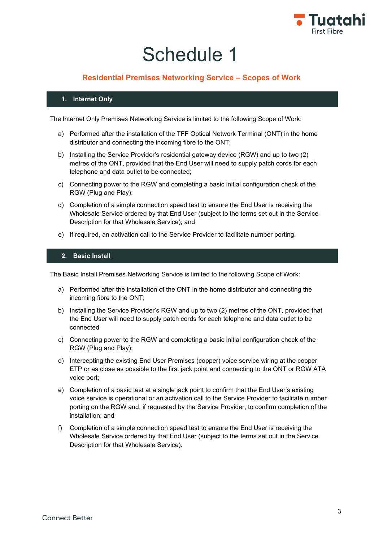

## **Residential Premises Networking Service – Scopes of Work**

## **1. Internet Only**

The Internet Only Premises Networking Service is limited to the following Scope of Work:

- a) Performed after the installation of the TFF Optical Network Terminal (ONT) in the home distributor and connecting the incoming fibre to the ONT;
- b) Installing the Service Provider's residential gateway device (RGW) and up to two (2) metres of the ONT, provided that the End User will need to supply patch cords for each telephone and data outlet to be connected;
- c) Connecting power to the RGW and completing a basic initial configuration check of the RGW (Plug and Play);
- d) Completion of a simple connection speed test to ensure the End User is receiving the Wholesale Service ordered by that End User (subject to the terms set out in the Service Description for that Wholesale Service); and
- e) If required, an activation call to the Service Provider to facilitate number porting.

## **2. Basic Install**

The Basic Install Premises Networking Service is limited to the following Scope of Work:

- a) Performed after the installation of the ONT in the home distributor and connecting the incoming fibre to the ONT;
- b) Installing the Service Provider's RGW and up to two (2) metres of the ONT, provided that the End User will need to supply patch cords for each telephone and data outlet to be connected
- c) Connecting power to the RGW and completing a basic initial configuration check of the RGW (Plug and Play);
- d) Intercepting the existing End User Premises (copper) voice service wiring at the copper ETP or as close as possible to the first jack point and connecting to the ONT or RGW ATA voice port;
- e) Completion of a basic test at a single jack point to confirm that the End User's existing voice service is operational or an activation call to the Service Provider to facilitate number porting on the RGW and, if requested by the Service Provider, to confirm completion of the installation; and
- f) Completion of a simple connection speed test to ensure the End User is receiving the Wholesale Service ordered by that End User (subject to the terms set out in the Service Description for that Wholesale Service).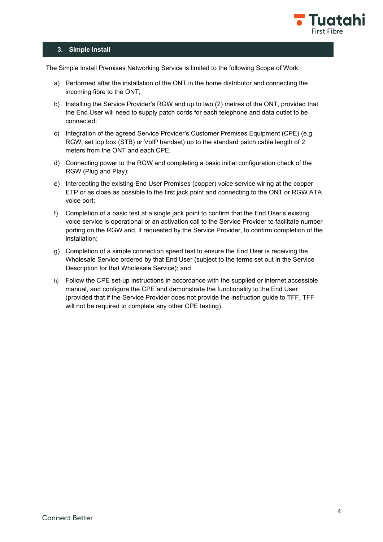

#### **3. Simple Install**

The Simple Install Premises Networking Service is limited to the following Scope of Work:

- a) Performed after the installation of the ONT in the home distributor and connecting the incoming fibre to the ONT;
- b) Installing the Service Provider's RGW and up to two (2) metres of the ONT, provided that the End User will need to supply patch cords for each telephone and data outlet to be connected;
- c) Integration of the agreed Service Provider's Customer Premises Equipment (CPE) (e.g. RGW, set top box (STB) or VoIP handset) up to the standard patch cable length of 2 meters from the ONT and each CPE;
- d) Connecting power to the RGW and completing a basic initial configuration check of the RGW (Plug and Play);
- e) Intercepting the existing End User Premises (copper) voice service wiring at the copper ETP or as close as possible to the first jack point and connecting to the ONT or RGW ATA voice port;
- f) Completion of a basic test at a single jack point to confirm that the End User's existing voice service is operational or an activation call to the Service Provider to facilitate number porting on the RGW and, if requested by the Service Provider, to confirm completion of the installation;
- g) Completion of a simple connection speed test to ensure the End User is receiving the Wholesale Service ordered by that End User (subject to the terms set out in the Service Description for that Wholesale Service); and
- h) Follow the CPE set-up instructions in accordance with the supplied or internet accessible manual, and configure the CPE and demonstrate the functionality to the End User (provided that if the Service Provider does not provide the instruction guide to TFF, TFF will not be required to complete any other CPE testing).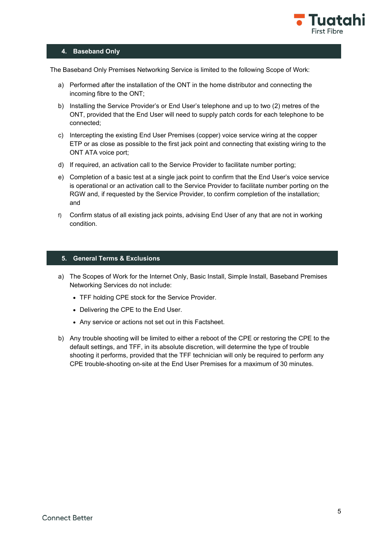

## **4. Baseband Only**

The Baseband Only Premises Networking Service is limited to the following Scope of Work:

- a) Performed after the installation of the ONT in the home distributor and connecting the incoming fibre to the ONT;
- b) Installing the Service Provider's or End User's telephone and up to two (2) metres of the ONT, provided that the End User will need to supply patch cords for each telephone to be connected;
- c) Intercepting the existing End User Premises (copper) voice service wiring at the copper ETP or as close as possible to the first jack point and connecting that existing wiring to the ONT ATA voice port;
- d) If required, an activation call to the Service Provider to facilitate number porting;
- e) Completion of a basic test at a single jack point to confirm that the End User's voice service is operational or an activation call to the Service Provider to facilitate number porting on the RGW and, if requested by the Service Provider, to confirm completion of the installation; and
- f) Confirm status of all existing jack points, advising End User of any that are not in working condition.

## **5. General Terms & Exclusions**

- a) The Scopes of Work for the Internet Only, Basic Install, Simple Install, Baseband Premises Networking Services do not include:
	- TFF holding CPE stock for the Service Provider.
	- Delivering the CPE to the End User.
	- Any service or actions not set out in this Factsheet.
- b) Any trouble shooting will be limited to either a reboot of the CPE or restoring the CPE to the default settings, and TFF, in its absolute discretion, will determine the type of trouble shooting it performs, provided that the TFF technician will only be required to perform any CPE trouble-shooting on-site at the End User Premises for a maximum of 30 minutes.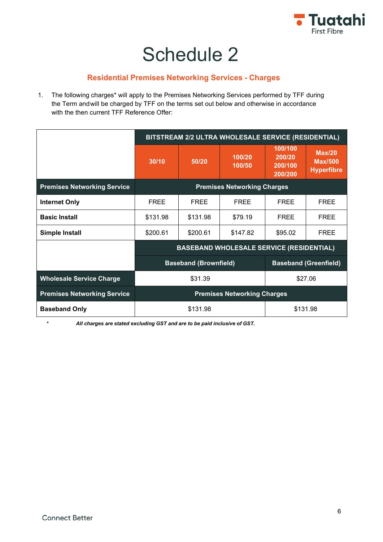

## **Residential Premises Networking Services - Charges**

1. The following charges\* will apply to the Premises Networking Services performed by TFF during the Term andwill be charged by TFF on the terms set out below and otherwise in accordance with the then current TFF Reference Offer:

|                                    | BITSTREAM 2/2 ULTRA WHOLESALE SERVICE (RESIDENTIAL)          |             |                  |                                         |                                               |
|------------------------------------|--------------------------------------------------------------|-------------|------------------|-----------------------------------------|-----------------------------------------------|
|                                    | 30/10                                                        | 50/20       | 100/20<br>100/50 | 100/100<br>200/20<br>200/100<br>200/200 | Max/20<br><b>Max/500</b><br><b>Hyperfibre</b> |
| <b>Premises Networking Service</b> | <b>Premises Networking Charges</b>                           |             |                  |                                         |                                               |
| <b>Internet Only</b>               | <b>FREE</b>                                                  | <b>FREE</b> | <b>FREE</b>      | <b>FREE</b>                             | <b>FREE</b>                                   |
| <b>Basic Install</b>               | \$131.98                                                     | \$131.98    | \$79.19          | <b>FREE</b>                             | <b>FREE</b>                                   |
| <b>Simple Install</b>              | \$200.61                                                     | \$200.61    | \$147.82         | \$95.02                                 | <b>FREE</b>                                   |
|                                    | <b>BASEBAND WHOLESALE SERVICE (RESIDENTIAL)</b>              |             |                  |                                         |                                               |
|                                    | <b>Baseband (Brownfield)</b><br><b>Baseband (Greenfield)</b> |             |                  |                                         |                                               |
| <b>Wholesale Service Charge</b>    | \$31.39<br>\$27.06                                           |             |                  |                                         |                                               |
| <b>Premises Networking Service</b> | <b>Premises Networking Charges</b>                           |             |                  |                                         |                                               |
| <b>Baseband Only</b>               | \$131.98<br>\$131.98                                         |             |                  |                                         |                                               |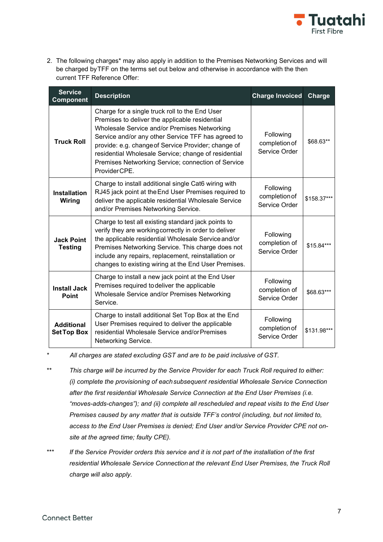

2. The following charges\* may also apply in addition to the Premises Networking Services and will be charged byTFF on the terms set out below and otherwise in accordance with the then current TFF Reference Offer:

| <b>Service</b><br><b>Component</b>     | <b>Description</b>                                                                                                                                                                                                                                                                                                                                                                          | <b>Charge Invoiced</b>                      | Charge      |
|----------------------------------------|---------------------------------------------------------------------------------------------------------------------------------------------------------------------------------------------------------------------------------------------------------------------------------------------------------------------------------------------------------------------------------------------|---------------------------------------------|-------------|
| <b>Truck Roll</b>                      | Charge for a single truck roll to the End User<br>Premises to deliver the applicable residential<br>Wholesale Service and/or Premises Networking<br>Service and/or any other Service TFF has agreed to<br>provide: e.g. change of Service Provider; change of<br>residential Wholesale Service; change of residential<br>Premises Networking Service; connection of Service<br>ProviderCPE. | Following<br>completion of<br>Service Order | \$68.63**   |
| <b>Installation</b><br>Wiring          | Charge to install additional single Cat6 wiring with<br>RJ45 jack point at the End User Premises required to<br>deliver the applicable residential Wholesale Service<br>and/or Premises Networking Service.                                                                                                                                                                                 | Following<br>completion of<br>Service Order | \$158.37*** |
| <b>Jack Point</b><br><b>Testing</b>    | Charge to test all existing standard jack points to<br>verify they are working correctly in order to deliver<br>the applicable residential Wholesale Service and/or<br>Premises Networking Service. This charge does not<br>include any repairs, replacement, reinstallation or<br>changes to existing wiring at the End User Premises.                                                     | Following<br>completion of<br>Service Order | \$15.84***  |
| <b>Install Jack</b><br><b>Point</b>    | Charge to install a new jack point at the End User<br>Premises required to deliver the applicable<br>Wholesale Service and/or Premises Networking<br>Service.                                                                                                                                                                                                                               | Following<br>completion of<br>Service Order | \$68.63***  |
| <b>Additional</b><br><b>SetTop Box</b> | Charge to install additional Set Top Box at the End<br>User Premises required to deliver the applicable<br>residential Wholesale Service and/or Premises<br>Networking Service.                                                                                                                                                                                                             | Following<br>completion of<br>Service Order | \$131.98*** |

- *\*\* This charge will be incurred by the Service Provider for each Truck Roll required to either: (i) complete the provisioning of eachsubsequent residential Wholesale Service Connection after the first residential Wholesale Service Connection at the End User Premises (i.e. "moves-adds-changes"); and (ii) complete all rescheduled and repeat visits to the End User Premises caused by any matter that is outside TFF's control (including, but not limited to, access to the End User Premises is denied; End User and/or Service Provider CPE not onsite at the agreed time; faulty CPE).*
- *\*\*\* If the Service Provider orders this service and it is not part of the installation of the first residential Wholesale Service Connectionat the relevant End User Premises, the Truck Roll charge will also apply.*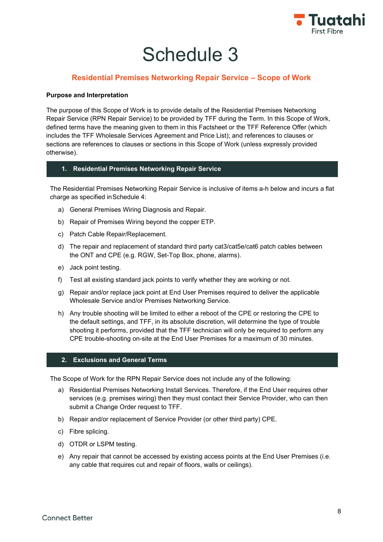

## **Residential Premises Networking Repair Service – Scope of Work**

## **Purpose and Interpretation**

The purpose of this Scope of Work is to provide details of the Residential Premises Networking Repair Service (RPN Repair Service) to be provided by TFF during the Term. In this Scope of Work, defined terms have the meaning given to them in this Factsheet or the TFF Reference Offer (which includes the TFF Wholesale Services Agreement and Price List); and references to clauses or sections are references to clauses or sections in this Scope of Work (unless expressly provided otherwise).

## **1. Residential Premises Networking Repair Service**

The Residential Premises Networking Repair Service is inclusive of items a-h below and incurs a flat charge as specified inSchedule 4:

- a) General Premises Wiring Diagnosis and Repair.
- b) Repair of Premises Wiring beyond the copper ETP.
- c) Patch Cable Repair/Replacement.
- d) The repair and replacement of standard third party cat3/cat5e/cat6 patch cables between the ONT and CPE (e.g. RGW, Set-Top Box, phone, alarms).
- e) Jack point testing.
- f) Test all existing standard jack points to verify whether they are working or not.
- g) Repair and/or replace jack point at End User Premises required to deliver the applicable Wholesale Service and/or Premises Networking Service.
- h) Any trouble shooting will be limited to either a reboot of the CPE or restoring the CPE to the default settings, and TFF, in its absolute discretion, will determine the type of trouble shooting it performs, provided that the TFF technician will only be required to perform any CPE trouble-shooting on-site at the End User Premises for a maximum of 30 minutes.

## **2. Exclusions and General Terms**

The Scope of Work for the RPN Repair Service does not include any of the following:

- a) Residential Premises Networking Install Services. Therefore, if the End User requires other services (e.g. premises wiring) then they must contact their Service Provider, who can then submit a Change Order request to TFF.
- b) Repair and/or replacement of Service Provider (or other third party) CPE.
- c) Fibre splicing.
- d) OTDR or LSPM testing.
- e) Any repair that cannot be accessed by existing access points at the End User Premises (i.e. any cable that requires cut and repair of floors, walls or ceilings).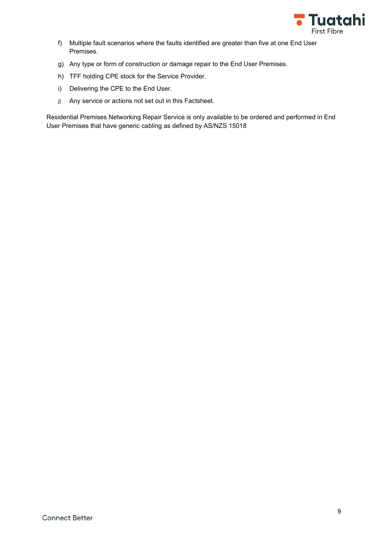

- f) Multiple fault scenarios where the faults identified are greater than five at one End User Premises.
- g) Any type or form of construction or damage repair to the End User Premises.
- h) TFF holding CPE stock for the Service Provider.
- i) Delivering the CPE to the End User.
- j) Any service or actions not set out in this Factsheet.

Residential Premises Networking Repair Service is only available to be ordered and performed in End User Premises that have generic cabling as defined by AS/NZS 15018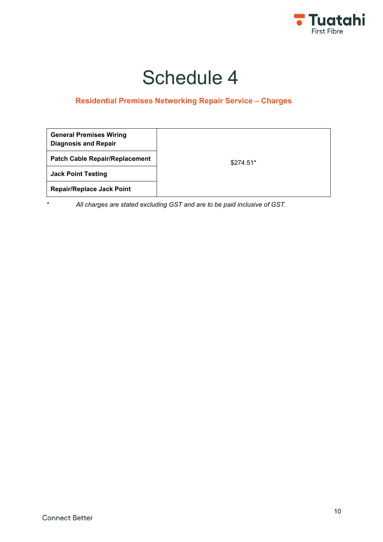

## **Residential Premises Networking Repair Service – Charges**

| <b>General Premises Wiring</b><br><b>Diagnosis and Repair</b> |            |
|---------------------------------------------------------------|------------|
| <b>Patch Cable Repair/Replacement</b>                         | $$274.51*$ |
| <b>Jack Point Testing</b>                                     |            |
| <b>Repair/Replace Jack Point</b>                              |            |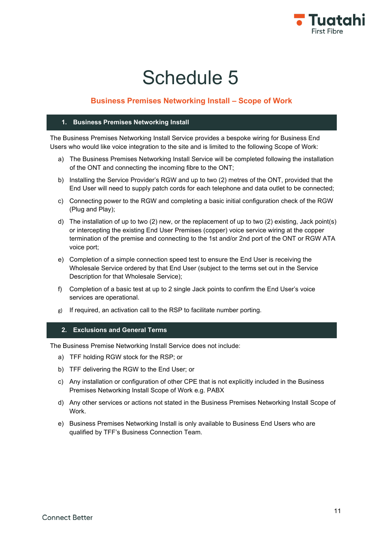

## **Business Premises Networking Install – Scope of Work**

#### **1. Business Premises Networking Install**

The Business Premises Networking Install Service provides a bespoke wiring for Business End Users who would like voice integration to the site and is limited to the following Scope of Work:

- a) The Business Premises Networking Install Service will be completed following the installation of the ONT and connecting the incoming fibre to the ONT;
- b) Installing the Service Provider's RGW and up to two (2) metres of the ONT, provided that the End User will need to supply patch cords for each telephone and data outlet to be connected;
- c) Connecting power to the RGW and completing a basic initial configuration check of the RGW (Plug and Play);
- d) The installation of up to two (2) new, or the replacement of up to two (2) existing, Jack point(s) or intercepting the existing End User Premises (copper) voice service wiring at the copper termination of the premise and connecting to the 1st and/or 2nd port of the ONT or RGW ATA voice port;
- e) Completion of a simple connection speed test to ensure the End User is receiving the Wholesale Service ordered by that End User (subject to the terms set out in the Service Description for that Wholesale Service);
- f) Completion of a basic test at up to 2 single Jack points to confirm the End User's voice services are operational.
- g) If required, an activation call to the RSP to facilitate number porting.

## **2. Exclusions and General Terms**

The Business Premise Networking Install Service does not include:

- a) TFF holding RGW stock for the RSP; or
- b) TFF delivering the RGW to the End User; or
- c) Any installation or configuration of other CPE that is not explicitly included in the Business Premises Networking Install Scope of Work e.g. PABX
- d) Any other services or actions not stated in the Business Premises Networking Install Scope of Work.
- e) Business Premises Networking Install is only available to Business End Users who are qualified by TFF's Business Connection Team.